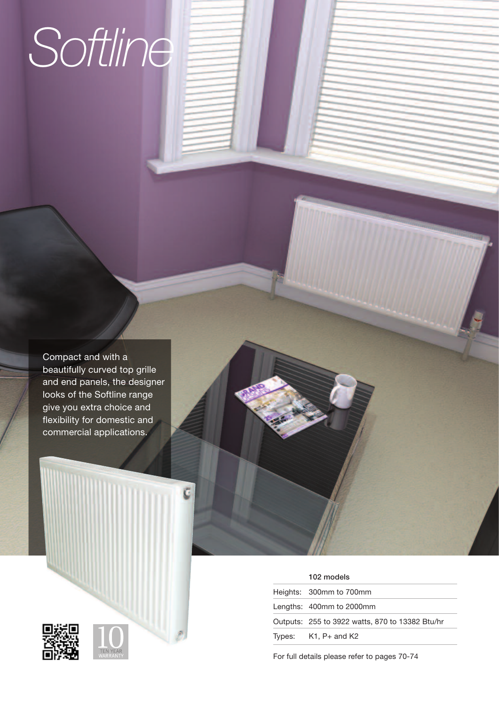# *Softline*

Compact and with a beautifully curved top grille and end panels, the designer looks of the Softline range give you extra choice and flexibility for domestic and commercial applications.

ć





| 102 models                                      |
|-------------------------------------------------|
| Heights: 300mm to 700mm                         |
| Lengths: 400mm to 2000mm                        |
| Outputs: 255 to 3922 watts, 870 to 13382 Btu/hr |
| Types: $K1, P+$ and $K2$                        |

For full details please refer to pages 70-74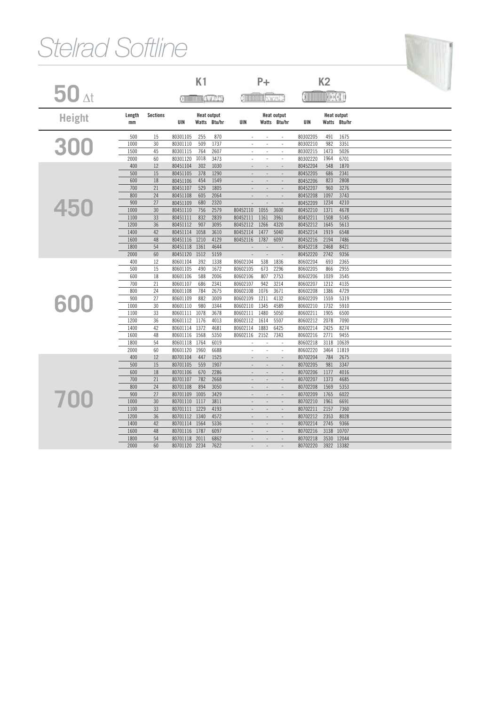## *Stelrad Softline*

|                    |              |                 |                      | K1                                 |              |                          | $P+$<br><b>Chilling</b> back 2 |                                    |                         | K <sub>2</sub> |                                    |  |
|--------------------|--------------|-----------------|----------------------|------------------------------------|--------------|--------------------------|--------------------------------|------------------------------------|-------------------------|----------------|------------------------------------|--|
| $50$ <sub>At</sub> |              |                 |                      | وعدانين استستنتج                   |              |                          |                                |                                    | XIIIIIIIIIIIIIIIIXHAH H |                |                                    |  |
| <b>Height</b>      | Length<br>mm | <b>Sections</b> | UIN                  | <b>Heat output</b><br>Watts Btu/hr |              | UIN                      |                                | <b>Heat output</b><br>Watts Btu/hr | UIN                     |                | <b>Heat output</b><br>Watts Btu/hr |  |
|                    | 500          | 15              | 80301105             | 255                                | 870          | ÷,                       |                                | ÷,                                 | 80302205                | 491            | 1675                               |  |
| 300                | 1000         | 30              | 80301110             | 509                                | 1737         | $\sim$                   | $\sim$                         | ÷,                                 | 80302210                | 982            | 3351                               |  |
|                    | 1500         | 45              | 80301115             | 764                                | 2607         | ÷                        | ÷                              | $\sim$                             | 80302215                | 1473           | 5026                               |  |
|                    | 2000         | 60              | 80301120             | 1018                               | 3473         | ÷.                       | $\sim$                         | $\sim$                             | 80302220                | 1964           | 6701                               |  |
|                    | 400          | 12              | 80451104             | 302                                | 1030         |                          |                                |                                    | 80452204                | 548            | 1870                               |  |
|                    | 500          | 15              | 80451105             | 378                                | 1290         | $\sim$                   | $\sim$                         | $\overline{\phantom{a}}$           | 80452205                | 686            | 2341                               |  |
|                    | 600          | 18              | 80451106             | 454                                | 1549         | $\overline{a}$           | $\overline{\phantom{a}}$       | $\overline{\phantom{a}}$           | 80452206                | 823            | 2808                               |  |
|                    | 700          | 21<br>24        | 80451107             | 529                                | 1805         | $\overline{\phantom{a}}$ | $\overline{\phantom{a}}$       | $\overline{\phantom{a}}$           | 80452207                | 960            | 3276                               |  |
|                    | 800          |                 | 80451108             | 605                                | 2064         |                          |                                |                                    | 80452208<br>80452209    | 1097           | 3743                               |  |
| 450                | 900<br>1000  | 27<br>30        | 80451109<br>80451110 | 680<br>756                         | 2320<br>2579 | 80452110                 | 1055                           | 3600                               | 80452210                | 1234<br>1371   | 4210<br>4678                       |  |
|                    | 1100         | 33              | 80451111             | 832                                | 2839         | 80452111                 | 1161                           | 3961                               | 80452211                | 1508           | 5145                               |  |
|                    | 1200         | 36              | 80451112             | 907                                | 3095         | 80452112                 | 1266                           | 4320                               | 80452212                | 1645           | 5613                               |  |
|                    | 1400         | 42              | 80451114             | 1058                               | 3610         | 80452114                 | 1477                           | 5040                               | 80452214                | 1919           | 6548                               |  |
|                    | 1600         | 48              | 80451116             | 1210                               | 4129         | 80452116                 | 1787                           | 6097                               | 80452216                | 2194           | 7486                               |  |
|                    | 1800         | 54              | 80451118             | 1361                               | 4644         |                          |                                |                                    | 80452218                | 2468           | 8421                               |  |
|                    | 2000         | 60              | 80451120             | 1512                               | 5159         | $\overline{a}$           | $\overline{a}$                 |                                    | 80452220                | 2742           | 9356                               |  |
|                    | 400          | 12              | 80601104             | 392                                | 1338         | 80602104                 | 538                            | 1836                               | 80602204                | 693            | 2365                               |  |
|                    | 500          | 15              | 80601105             | 490                                | 1672         | 80602105                 | 673                            | 2296                               | 80602205                | 866            | 2955                               |  |
|                    | 600          | 18              | 80601106             | 588                                | 2006         | 80602106                 | 807                            | 2753                               | 80602206                | 1039           | 3545                               |  |
|                    | 700          | 21              | 80601107             | 686                                | 2341         | 80602107                 | 942                            | 3214                               | 80602207                | 1212           | 4135                               |  |
|                    | 800          | 24              | 80601108             | 784                                | 2675         | 80602108                 | 1076                           | 3671                               | 80602208                | 1386           | 4729                               |  |
|                    | 900          | 27              | 80601109             | 882                                | 3009         | 80602109                 | 1211                           | 4132                               | 80602209                | 1559           | 5319                               |  |
| 600                | 1000         | 30              | 80601110             | 980                                | 3344         | 80602110                 | 1345                           | 4589                               | 80602210                | 1732           | 5910                               |  |
|                    | 1100         | 33              | 80601111             | 1078                               | 3678         | 80602111                 | 1480                           | 5050                               | 80602211                | 1905           | 6500                               |  |
|                    | 1200         | 36              | 80601112             | 1176                               | 4013         | 80602112                 | 1614                           | 5507                               | 80602212                | 2078           | 7090                               |  |
|                    | 1400         | 42              | 80601114             | 1372                               | 4681         | 80602114                 | 1883                           | 6425                               | 80602214                | 2425           | 8274                               |  |
|                    | 1600         | 48              | 80601116             | 1568                               | 5350         | 80602116                 | 2152                           | 7343                               | 80602216                | 2771           | 9455                               |  |
|                    | 1800         | 54              | 80601118             | 1764                               | 6019         |                          |                                |                                    | 80602218                | 3118           | 10639                              |  |
|                    | 2000         | 60              | 80601120             | 1960                               | 6688         | ÷,                       | $\overline{a}$                 | L,                                 | 80602220                | 3464           | 11819                              |  |
|                    | 400          | 12              | 80701104             | 447                                | 1525         |                          |                                |                                    | 80702204                | 784            | 2675                               |  |
|                    | 500          | 15              | 80701105             | 559                                | 1907         |                          |                                |                                    | 80702205                | 981            | 3347                               |  |
|                    | 600          | 18              | 80701106             | 670                                | 2286         | $\overline{a}$           | $\overline{\phantom{a}}$       | $\overline{\phantom{a}}$           | 80702206                | 1177           | 4016                               |  |
|                    | 700          | 21              | 80701107             | 782                                | 2668         | $\overline{a}$           | $\overline{\phantom{a}}$       | $\overline{\phantom{a}}$           | 80702207                | 1373           | 4685                               |  |
|                    | 800          | 24              | 80701108             | 894                                | 3050         | $\overline{a}$           | $\overline{\phantom{a}}$       | $\overline{\phantom{a}}$           | 80702208                | 1569           | 5353                               |  |
|                    | 900          | 27              | 80701109             | 1005                               | 3429         | $\overline{a}$           | $\overline{\phantom{a}}$       | $\overline{a}$                     | 80702209                | 1765           | 6022                               |  |
| 700                | 1000         | 30              | 80701110             | 1117                               | 3811         |                          |                                |                                    | 80702210                | 1961           | 6691                               |  |
|                    | 1100         | 33              | 80701111             | 1229                               | 4193         | $\overline{a}$           | $\overline{a}$                 | $\overline{\phantom{a}}$           | 80702211                | 2157           | 7360                               |  |
|                    | 1200         | 36              | 80701112             | 1340                               | 4572         | $\overline{a}$           | $\overline{a}$                 | $\overline{a}$                     | 80702212                | 2353           | 8028                               |  |
|                    | 1400         | 42              | 80701114             | 1564                               | 5336         | $\overline{a}$           | $\overline{a}$                 | $\overline{\phantom{a}}$           | 80702214                | 2745           | 9366                               |  |
|                    | 1600         | 48              | 80701116             | 1787                               | 6097         |                          |                                | $\sim$                             | 80702216                | 3138           | 10707                              |  |
|                    | 1800         | 54              | 80701118             | 2011                               | 6862         | $\overline{a}$           | $\overline{\phantom{a}}$       | $\overline{\phantom{a}}$           | 80702218                | 3530           | 12044                              |  |
|                    | 2000         | 60              | 80701120             | 2234                               | 7622         |                          |                                |                                    | 80702220                |                | 3922 13382                         |  |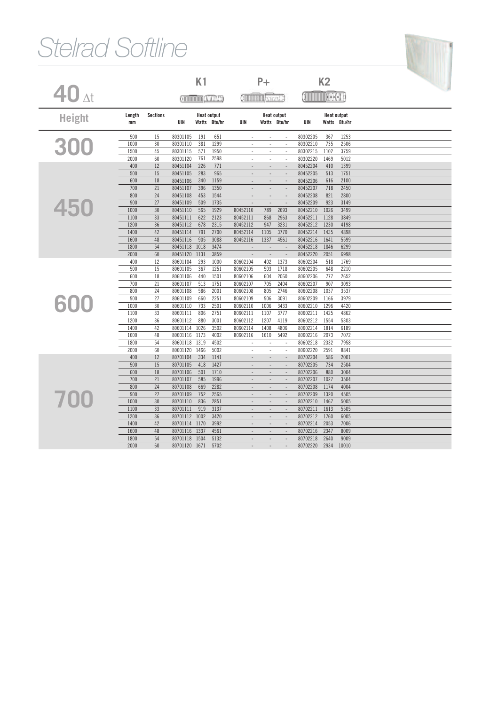## *Stelrad Softline*

|                    |              |                 |                      | K1         |                                    |                                            | $P+$                                                 |                                 |                      | K <sub>2</sub>     |                                    |  |
|--------------------|--------------|-----------------|----------------------|------------|------------------------------------|--------------------------------------------|------------------------------------------------------|---------------------------------|----------------------|--------------------|------------------------------------|--|
| $40$ $_{\Delta t}$ |              |                 |                      |            | وعدانات الاستنتاقات                |                                            | <b>Christman</b> back 2                              |                                 |                      | O IIII III KAARI B |                                    |  |
| <b>Height</b>      | Length<br>mm | <b>Sections</b> | UIN                  |            | <b>Heat output</b><br>Watts Btu/hr | UIN                                        | <b>Heat output</b>                                   | Watts Btu/hr                    | UIN                  |                    | <b>Heat output</b><br>Watts Btu/hr |  |
|                    | 500          | 15              | 80301105             | 191        | 651                                |                                            |                                                      |                                 | 80302205             | 367                | 1253                               |  |
| 300                | 1000         | 30              | 80301110             | 381        | 1299                               |                                            | ÷,                                                   | $\overline{a}$                  | 80302210             | 735                | 2506                               |  |
|                    | 1500         | 45              | 80301115             | 571        | 1950                               | $\overline{\phantom{a}}$                   | $\sim$                                               | ÷.                              | 80302215             | 1102               | 3759                               |  |
|                    | 2000         | 60              | 80301120             | 761        | 2598                               | ÷,                                         | $\overline{\phantom{a}}$                             | ÷,                              | 80302220             | 1469               | 5012                               |  |
|                    | 400          | 12              | 80451104             | 226        | 771                                |                                            |                                                      |                                 | 80452204             | 410                | 1399                               |  |
|                    | 500<br>600   | 15<br>18        | 80451105<br>80451106 | 283<br>340 | 965<br>1159                        | $\overline{a}$<br>$\overline{a}$           | $\overline{\phantom{a}}$<br>$\overline{\phantom{a}}$ | $\frac{1}{2}$<br>$\sim$         | 80452205<br>80452206 | 513<br>616         | 1751<br>2100                       |  |
|                    | 700          | 21              | 80451107             | 396        |                                    | $\overline{a}$                             | $\overline{\phantom{a}}$                             | $\sim$                          | 80452207             | 718                | 2450                               |  |
|                    | 800          | 24              | 80451108             | 453        | 1350<br>1544                       |                                            | $\overline{\phantom{a}}$                             | $\overline{a}$                  | 80452208             | 821                | 2800                               |  |
|                    | 900          | 27              | 80451109             | 509        | 1735                               |                                            | $\overline{a}$                                       |                                 | 80452209             | 923                | 3149                               |  |
| 450                | 1000         | 30              | 80451110             | 565        | 1929                               | 80452110                                   | 789                                                  | 2693                            | 80452210             | 1026               | 3499                               |  |
|                    | 1100         | 33              | 80451111             | 622        | 2123                               | 80452111                                   | 868                                                  | 2963                            | 80452211             | 1128               | 3849                               |  |
|                    | 1200         | 36              | 80451112             | 678        | 2315                               | 80452112                                   | 947                                                  | 3231                            | 80452212             | 1230               | 4198                               |  |
|                    | 1400         | 42              | 80451114             | 791        | 2700                               | 80452114                                   | 1105                                                 | 3770                            | 80452214             | 1435               | 4898                               |  |
|                    | 1600         | 48              | 80451116             | 905        | 3088                               | 80452116                                   | 1337                                                 | 4561                            | 80452216             | 1641               | 5599                               |  |
|                    | 1800         | 54              | 80451118             | 1018       | 3474                               |                                            | $\sim$                                               | $\overline{\phantom{a}}$        | 80452218             | 1846               | 6299                               |  |
|                    | 2000         | 60              | 80451120             | 1131       | 3859                               |                                            | $\overline{\phantom{a}}$                             | $\overline{a}$                  | 80452220             | 2051               | 6998                               |  |
|                    | 400          | 12              | 80601104             | 293        | 1000                               | 80602104                                   | 402                                                  | 1373                            | 80602204             | 518                | 1769                               |  |
|                    | 500          | 15              | 80601105             | 367        | 1251                               | 80602105                                   | 503                                                  | 1718                            | 80602205             | 648                | 2210                               |  |
|                    | 600          | 18              | 80601106             | 440        | 1501                               | 80602106                                   | 604                                                  | 2060                            | 80602206             | 777                | 2652                               |  |
|                    | 700          | 21              | 80601107             | 513        | 1751                               | 80602107                                   | 705                                                  | 2404                            | 80602207             | 907                | 3093                               |  |
|                    | 800          | 24              | 80601108             | 586        | 2001                               | 80602108                                   | 805                                                  | 2746                            | 80602208             | 1037               | 3537                               |  |
|                    | 900          | 27              | 80601109             | 660        | 2251                               | 80602109                                   | 906                                                  | 3091                            | 80602209             | 1166               | 3979                               |  |
| 600                | 1000         | 30              | 80601110             | 733        | 2501                               | 80602110                                   | 1006                                                 | 3433                            | 80602210             | 1296               | 4420                               |  |
|                    | 1100         | 33              | 80601111             | 806        | 2751                               | 80602111                                   | 1107                                                 | 3777                            | 80602211             | 1425               | 4862                               |  |
|                    | 1200         | 36              | 80601112             | 880        | 3001                               | 80602112                                   | 1207                                                 | 4119                            | 80602212             | 1554               | 5303                               |  |
|                    | 1400         | 42              | 80601114             | 1026       | 3502                               | 80602114                                   | 1408                                                 | 4806                            | 80602214             | 1814               | 6189                               |  |
|                    | 1600         | 48              | 80601116             | 1173       | 4002                               | 80602116                                   | 1610                                                 | 5492                            | 80602216             | 2073               | 7072                               |  |
|                    | 1800         | 54              | 80601118             | 1319       | 4502                               |                                            |                                                      |                                 | 80602218             | 2332               | 7958                               |  |
|                    | 2000         | 60              | 80601120             | 1466       | 5002                               | ÷,                                         | $\overline{a}$                                       | ÷,                              | 80602220             | 2591               | 8841                               |  |
|                    | 400          | 12              | 80701104             | 334        | 1141                               |                                            |                                                      |                                 | 80702204             | 586                | 2001                               |  |
|                    | 500          | 15              | 80701105             | 418        | 1427                               |                                            |                                                      | $\overline{a}$                  | 80702205             | 734                | 2504                               |  |
|                    | 600<br>700   | 18<br>21        | 80701106             | 501<br>585 | 1710                               | $\overline{\phantom{a}}$<br>$\overline{a}$ | $\overline{\phantom{a}}$<br>$\overline{a}$           | $\frac{1}{2}$<br>$\overline{a}$ | 80702206<br>80702207 | 880<br>1027        | 3004                               |  |
|                    | 800          | 24              | 80701107<br>80701108 | 669        | 1996<br>2282                       | $\overline{\phantom{a}}$                   | $\overline{\phantom{a}}$                             | $\overline{\phantom{a}}$        | 80702208             | 1174               | 3504<br>4004                       |  |
|                    | 900          | 27              | 80701109             | 752        | 2565                               | $\overline{a}$                             | $\overline{\phantom{a}}$                             | $\sim$                          | 80702209             | 1320               | 4505                               |  |
| 700                | 1000         | 30              | 80701110             | 836        | 2851                               |                                            |                                                      | L.                              | 80702210             | 1467               | 5005                               |  |
|                    | 1100         | 33              | 80701111             | 919        | 3137                               | $\overline{a}$                             | $\overline{\phantom{a}}$                             | $\overline{a}$                  | 80702211             | 1613               | 5505                               |  |
|                    | 1200         | 36              | 80701112             | 1002       | 3420                               | $\overline{a}$                             | $\overline{a}$                                       | $\overline{a}$                  | 80702212             | 1760               | 6005                               |  |
|                    | 1400         | 42              | 80701114             | 1170       | 3992                               | ÷.                                         | $\overline{a}$                                       | $\overline{a}$                  | 80702214             | 2053               | 7006                               |  |
|                    | 1600         | 48              | 80701116             | 1337       | 4561                               |                                            |                                                      |                                 | 80702216             | 2347               | 8009                               |  |
|                    | 1800         | 54              | 80701118             | 1504       | 5132                               | ÷,                                         | $\overline{\phantom{a}}$                             | $\overline{a}$                  | 80702218             | 2640               | 9009                               |  |
|                    | 2000         | 60              | 80701120             | 1671       | 5702                               |                                            |                                                      |                                 | 80702220             | 2934               | 10010                              |  |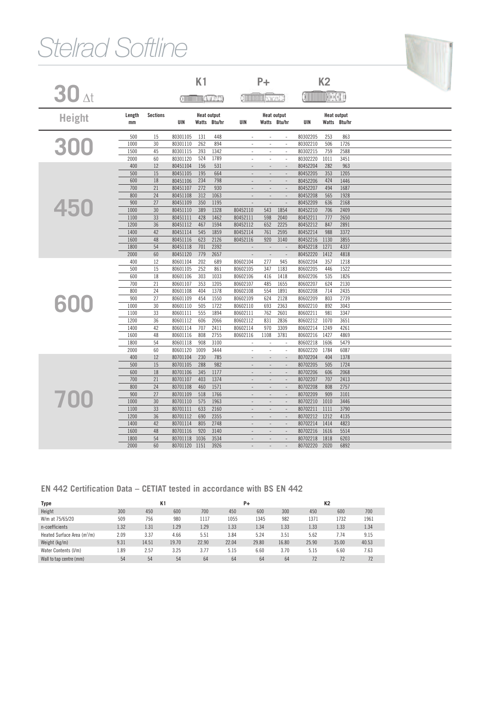## *Stelrad Softline*

|                    |              |                 |                      | K1          |                    |                          | $P+$                     |                          |                      | K <sub>2</sub> |                    |  |
|--------------------|--------------|-----------------|----------------------|-------------|--------------------|--------------------------|--------------------------|--------------------------|----------------------|----------------|--------------------|--|
|                    |              |                 |                      |             |                    |                          |                          |                          |                      |                |                    |  |
| $30$ <sub>At</sub> |              |                 | وعدانين استنسسه      |             |                    |                          |                          | o <b>minima</b> keest e  |                      |                |                    |  |
|                    | Length       | <b>Sections</b> |                      |             | <b>Heat output</b> |                          |                          | <b>Heat output</b>       |                      |                | <b>Heat output</b> |  |
| <b>Height</b>      | mm           |                 | UIN                  |             | Watts Btu/hr       | UIN                      |                          | Watts Btu/hr             | UIN                  |                | Watts Btu/hr       |  |
|                    | 500          | 15              | 80301105             | 131         | 448                | $\overline{\phantom{a}}$ |                          | $\overline{\phantom{a}}$ | 80302205             | 253            | 863                |  |
| 300                | 1000         | 30              | 80301110             | 262         | 894                |                          | $\overline{\phantom{a}}$ | $\overline{\phantom{a}}$ | 80302210             | 506            | 1726               |  |
|                    | 1500         | 45              | 80301115             | 393         | 1342               | ÷,                       | $\sim$                   | ÷,                       | 80302215             | 759            | 2588               |  |
|                    | 2000         | 60              | 80301120             | 524         | 1789               | ÷,                       | ÷,                       | $\ddot{\phantom{1}}$     | 80302220             | 1011           | 3451               |  |
|                    | 400          | 12              | 80451104             | 156         | 531                |                          |                          |                          | 80452204             | 282            | 963                |  |
|                    | 500          | 15              | 80451105             | 195         | 664                |                          |                          | $\overline{a}$           | 80452205             | 353            | 1205               |  |
|                    | 600          | 18              | 80451106             | 234         | 798                |                          |                          |                          | 80452206             | 424            | 1446               |  |
|                    | 700          | 21              | 80451107             | 272         | 930                | $\sim$                   | $\overline{\phantom{a}}$ | $\overline{\phantom{a}}$ | 80452207             | 494            | 1687               |  |
|                    | 800          | 24              | 80451108             | 312         | 1063               | $\overline{a}$           | $\overline{\phantom{a}}$ | ÷,                       | 80452208             | 565            | 1928               |  |
| 450                | 900          | 27              | 80451109             | 350         | 1195               |                          | $\overline{\phantom{a}}$ | ÷,                       | 80452209             | 636            | 2168               |  |
|                    | 1000         | 30              | 80451110             | 389         | 1328               | 80452110                 | 543                      | 1854                     | 80452210             | 706            | 2409               |  |
|                    | 1100         | 33              | 80451111             | 428         | 1462               | 80452111                 | 598                      | 2040                     | 80452211             | 777            | 2650               |  |
|                    | 1200         | 36              | 80451112             | 467         | 1594               | 80452112                 | 652                      | 2225                     | 80452212             | 847            | 2891               |  |
|                    | 1400         | 42              | 80451114             | 545         | 1859               | 80452114                 | 761                      | 2595                     | 80452214             | 988            | 3372               |  |
|                    | 1600         | 48              | 80451116             | 623         | 2126               | 80452116                 | 920                      | 3140                     | 80452216             | 1130           | 3855               |  |
|                    | 1800         | 54              | 80451118             | 701         | 2392               |                          | $\sim$                   |                          | 80452218             | 1271           | 4337               |  |
|                    | 2000         | 60              | 80451120             | 779         | 2657               |                          | $\overline{\phantom{a}}$ | $\overline{a}$           | 80452220             | 1412           | 4818               |  |
|                    | 400          | 12              | 80601104             | 202         | 689                | 80602104                 | 277                      | 945                      | 80602204             | 357            | 1218               |  |
|                    | 500          | 15              | 80601105             | 252         | 861                | 80602105                 | 347                      | 1183                     | 80602205             | 446            | 1522               |  |
|                    | 600          | 18              | 80601106             | 303         | 1033               | 80602106                 | 416                      | 1418                     | 80602206             | 535            | 1826               |  |
|                    | 700          | 21              | 80601107             | 353         | 1205               | 80602107                 | 485                      | 1655                     | 80602207             | 624            | 2130               |  |
|                    | 800          | 24              | 80601108             | 404         | 1378               | 80602108                 | 554                      | 1891                     | 80602208             | 714            | 2435               |  |
| 600                | 900          | 27              | 80601109             | 454         | 1550               | 80602109                 | 624                      | 2128                     | 80602209             | 803            | 2739               |  |
|                    | 1000         | 30              | 80601110             | 505         | 1722               | 80602110                 | 693                      | 2363                     | 80602210             | 892            | 3043               |  |
|                    | 1100         | 33              | 80601111             | 555         | 1894               | 80602111                 | 762                      | 2601                     | 80602211             | 981            | 3347               |  |
|                    | 1200         | 36              | 80601112             | 606         | 2066               | 80602112                 | 831                      | 2836                     | 80602212             | 1070           | 3651               |  |
|                    | 1400         | 42              | 80601114             | 707         | 2411               | 80602114                 | 970                      | 3309                     | 80602214             | 1249           | 4261               |  |
|                    | 1600         | 48              | 80601116             | 808         | 2755               | 80602116                 | 1108                     | 3781                     | 80602216             | 1427           | 4869               |  |
|                    | 1800         | 54              | 80601118             | 908         | 3100               | $\overline{\phantom{a}}$ | $\overline{\phantom{a}}$ | $\overline{\phantom{a}}$ | 80602218             | 1606           | 5479               |  |
|                    | 2000         | 60              | 80601120             | 1009        | 3444               | ÷,                       | ÷,                       | $\bar{z}$                | 80602220             | 1784           | 6087               |  |
|                    | 400          | 12              | 80701104             | 230         | 785                |                          |                          |                          | 80702204             | 404            | 1378               |  |
|                    | 500          | 15              | 80701105             | 288         | 982                |                          |                          | $\overline{a}$           | 80702205             | 505            | 1724               |  |
|                    | 600          | 18              | 80701106             | 345         | 1177               | $\overline{a}$           | $\overline{a}$           | $\overline{a}$           | 80702206             | 606            | 2068               |  |
|                    | 700          | 21              | 80701107             | 403         | 1374               |                          |                          | J.                       | 80702207             | 707            | 2413               |  |
|                    | 800          | 24              | 80701108             | 460         | 1571               | $\sim$                   | $\overline{\phantom{a}}$ | $\overline{\phantom{a}}$ | 80702208             | 808            | 2757               |  |
| 700                | 900          | 27              | 80701109             | 518         | 1766               | $\overline{a}$           | $\overline{a}$           | $\sim$                   | 80702209             | 909            | 3101               |  |
|                    | 1000         | 30              | 80701110             | 575         | 1963               | $\overline{a}$           | $\overline{a}$           | $\sim$                   | 80702210             | 1010           | 3446               |  |
|                    | 1100         | 33              | 80701111             | 633         | 2160               | $\overline{\phantom{a}}$ | $\overline{\phantom{a}}$ | $\sim$                   | 80702211             | 1111<br>1212   | 3790               |  |
|                    | 1200<br>1400 | 36<br>42        | 80701112<br>80701114 | 690<br>805  | 2355<br>2748       |                          |                          |                          | 80702212<br>80702214 | 1414           | 4135<br>4823       |  |
|                    |              |                 |                      |             |                    |                          |                          | L.                       | 80702216             |                |                    |  |
|                    | 1600<br>1800 | 48<br>54        | 80701116<br>80701118 | 920<br>1036 | 3140<br>3534       | $\overline{a}$           |                          |                          | 80702218             | 1616<br>1818   | 5514<br>6203       |  |
|                    | 2000         | 60              | 80701120             | 1151        | 3926               |                          |                          |                          | 80702220             | 2020           | 6892               |  |
|                    |              |                 |                      |             |                    |                          |                          |                          |                      |                |                    |  |

f

#### **EN 442 Certification Data – CETIAT tested in accordance with BS EN 442**

| Type                                    |      |       | K1    |       |       | P+    |       | K2    |       |       |  |
|-----------------------------------------|------|-------|-------|-------|-------|-------|-------|-------|-------|-------|--|
| Height                                  | 300  | 450   | 600   | 700   | 450   | 600   | 300   | 450   | 600   | 700   |  |
| W/m at 75/65/20                         | 509  | 756   | 980   | 1117  | 1055  | 1345  | 982   | 1371  | 1732  | 1961  |  |
| n-coefficients                          | 1.32 | 1.31  | 1.29  | 1.29  | 1.33  | 1.34  | 1.33  | 1.33  | 1.33  | 1.34  |  |
| Heated Surface Area (m <sup>2</sup> /m) | 2.09 | 3.37  | 4.66  | 5.51  | 3.84  | 5.24  | 3.51  | 5.62  | 7.74  | 9.15  |  |
| Weight (kg/m)                           | 9.31 | 14.51 | 19.70 | 22.90 | 22.04 | 29.80 | 16.80 | 25.90 | 35.00 | 40.53 |  |
| Water Contents (I/m)                    | 1.89 | 2.57  | 3.25  | 3.77  | 5.15  | 6.60  | 3.70  | 5.15  | 6.60  | 7.63  |  |
| Wall to tap centre (mm)                 | 54   | 54    | 54    | 64    | 64    | 64    | 64    | 72    | 72    | 72    |  |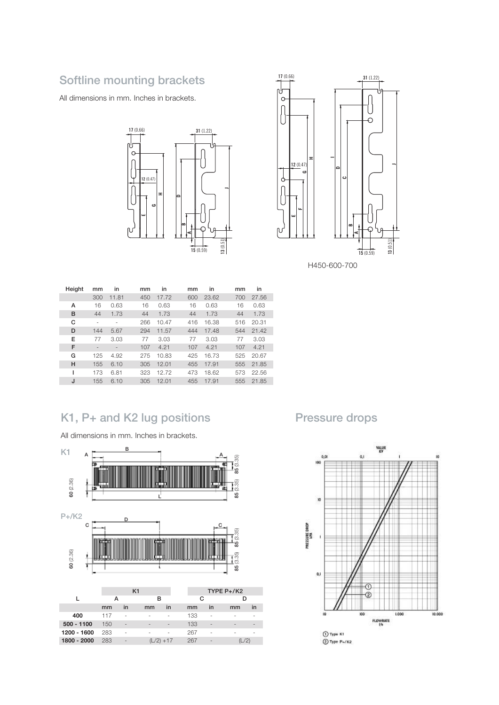#### Softline mounting brackets

All dimensions in mm. Inches in brackets.





 mm in mm in mm in mm in 300 11.81 450 17.72 600 23.62 700 27.56 16 0.63 16 0.63 16 0.63 16 0.63 44 1.73 44 1.73 44 1.73 44 1.73 - - 266 10.47 416 16.38 516 20.31 144 5.67 294 11.57 444 17.48 544 21.42 77 3.03 77 3.03 77 3.03 77 3.03 - - 107 4.21 107 4.21 107 4.21 125 4.92 275 10.83 425 16.73 525 20.67 155 6.10 305 12.01 455 17.91 555 21.85 173 6.81 323 12.72 473 18.62 573 22.56 155 6.10 305 12.01 455 17.91 555 21.85 Height A B C D E F G H I J

#### K1, P+ and K2 lug positions

All dimensions in mm. Inches in brackets.



#### Pressure drops